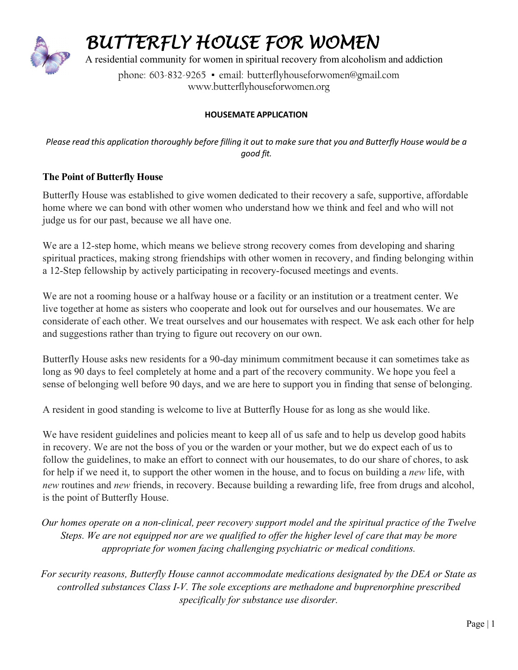

## *BUTTERFLY HOUSE FOR WOMEN*

A residential community for women in spiritual recovery from alcoholism and addiction

phone: 603-832-9265 · email: [butterflyhouseforwomen@gmail.com](mailto:butterflyhouseforwomen@gmail.com) www.butterflyhouseforwomen.org

## **HOUSEMATE APPLICATION**

Please read this application thoroughly before filling it out to make sure that you and Butterfly House would be a *good fit.*

## **The Point of Butterfly House**

Butterfly House was established to give women dedicated to their recovery a safe, supportive, affordable home where we can bond with other women who understand how we think and feel and who will not judge us for our past, because we all have one.

We are a 12-step home, which means we believe strong recovery comes from developing and sharing spiritual practices, making strong friendships with other women in recovery, and finding belonging within a 12-Step fellowship by actively participating in recovery-focused meetings and events.

We are not a rooming house or a halfway house or a facility or an institution or a treatment center. We live together at home as sisters who cooperate and look out for ourselves and our housemates. We are considerate of each other. We treat ourselves and our housemates with respect. We ask each other for help and suggestions rather than trying to figure out recovery on our own.

Butterfly House asks new residents for a 90-day minimum commitment because it can sometimes take as long as 90 days to feel completely at home and a part of the recovery community. We hope you feel a sense of belonging well before 90 days, and we are here to support you in finding that sense of belonging.

A resident in good standing is welcome to live at Butterfly House for as long as she would like.

We have resident guidelines and policies meant to keep all of us safe and to help us develop good habits in recovery. We are not the boss of you or the warden or your mother, but we do expect each of us to follow the guidelines, to make an effort to connect with our housemates, to do our share of chores, to ask for help if we need it, to support the other women in the house, and to focus on building a *new* life, with *new* routines and *new* friends, in recovery. Because building a rewarding life, free from drugs and alcohol, is the point of Butterfly House.

*Our homes operate on a non-clinical, peer recovery support model and the spiritual practice of the Twelve*  Steps. We are not equipped nor are we qualified to offer the higher level of care that may be more *appropriate for women facing challenging psychiatric or medical conditions.*

*For security reasons, Butterfly House cannot accommodate medications designated by the DEA or State as controlled substances Class I-V. The sole exceptions are methadone and buprenorphine prescribed specifically for substance use disorder.*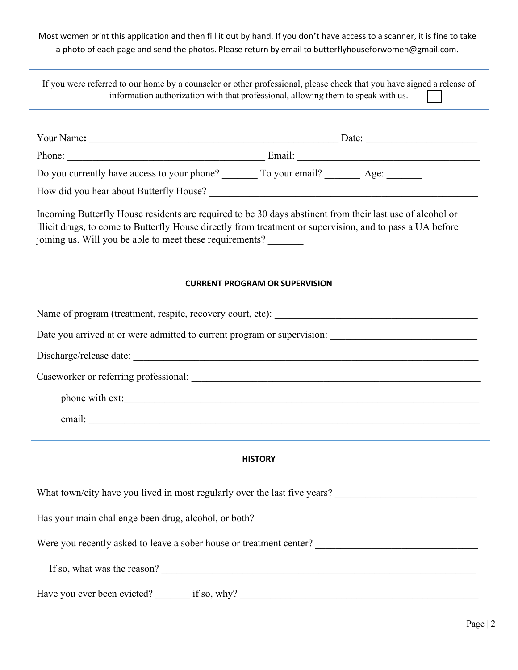Most women print this application and then fill it out by hand. If you don't have access to a scanner, it is fine to take a photo of each page and send the photos. Please return by email to [butterflyhouseforwomen@gmail.com.](mailto:butterflyhouseforwomen@gmail.com)

If you were referred to our home by a counselor or other professional, please check that you have signed a release of information authorization with that professional, allowing them to speak with us.

| Do you currently have access to your phone? ________ To your email? _________ Age: ________                                                                                                                                                                                        |                                       |  |  |
|------------------------------------------------------------------------------------------------------------------------------------------------------------------------------------------------------------------------------------------------------------------------------------|---------------------------------------|--|--|
|                                                                                                                                                                                                                                                                                    |                                       |  |  |
| Incoming Butterfly House residents are required to be 30 days abstinent from their last use of alcohol or<br>illicit drugs, to come to Butterfly House directly from treatment or supervision, and to pass a UA before<br>joining us. Will you be able to meet these requirements? |                                       |  |  |
|                                                                                                                                                                                                                                                                                    | <b>CURRENT PROGRAM OR SUPERVISION</b> |  |  |
|                                                                                                                                                                                                                                                                                    |                                       |  |  |
|                                                                                                                                                                                                                                                                                    |                                       |  |  |
|                                                                                                                                                                                                                                                                                    |                                       |  |  |
|                                                                                                                                                                                                                                                                                    |                                       |  |  |
| phone with ext:                                                                                                                                                                                                                                                                    |                                       |  |  |
|                                                                                                                                                                                                                                                                                    |                                       |  |  |
|                                                                                                                                                                                                                                                                                    |                                       |  |  |
|                                                                                                                                                                                                                                                                                    | <b>HISTORY</b>                        |  |  |
| What town/city have you lived in most regularly over the last five years?                                                                                                                                                                                                          |                                       |  |  |
|                                                                                                                                                                                                                                                                                    |                                       |  |  |
|                                                                                                                                                                                                                                                                                    |                                       |  |  |
| If so, what was the reason?                                                                                                                                                                                                                                                        |                                       |  |  |
| Have you ever been evicted? _______ if so, why? _________________________________                                                                                                                                                                                                  |                                       |  |  |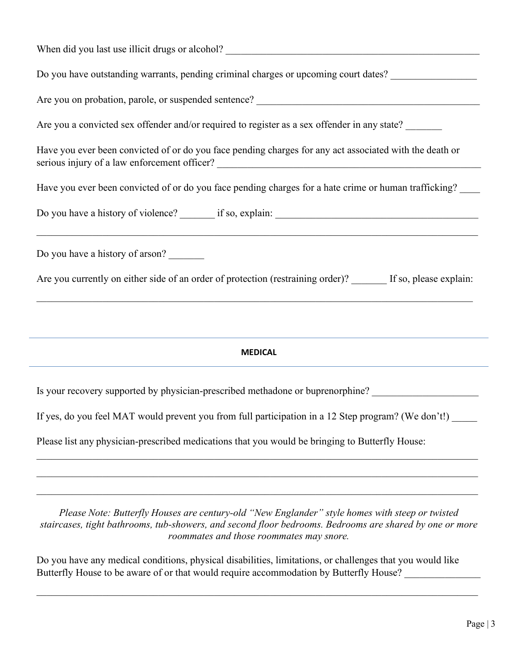| Do you have outstanding warrants, pending criminal charges or upcoming court dates? _______________                                                                                                                                                    |
|--------------------------------------------------------------------------------------------------------------------------------------------------------------------------------------------------------------------------------------------------------|
|                                                                                                                                                                                                                                                        |
| Are you a convicted sex offender and/or required to register as a sex offender in any state?                                                                                                                                                           |
| Have you ever been convicted of or do you face pending charges for any act associated with the death or                                                                                                                                                |
| Have you ever been convicted of or do you face pending charges for a hate crime or human trafficking?                                                                                                                                                  |
|                                                                                                                                                                                                                                                        |
| Do you have a history of arson?                                                                                                                                                                                                                        |
| Are you currently on either side of an order of protection (restraining order)? If so, please explain:                                                                                                                                                 |
|                                                                                                                                                                                                                                                        |
| <b>MEDICAL</b><br><u> 1989 - Johann Stoff, amerikansk politiker (d. 1989)</u>                                                                                                                                                                          |
| Is your recovery supported by physician-prescribed methadone or buprenorphine?                                                                                                                                                                         |
| If yes, do you feel MAT would prevent you from full participation in a 12 Step program? (We don't!)                                                                                                                                                    |
| Please list any physician-prescribed medications that you would be bringing to Butterfly House:                                                                                                                                                        |
| Please Note: Butterfly Houses are century-old "New Englander" style homes with steep or twisted<br>staircases, tight bathrooms, tub-showers, and second floor bedrooms. Bedrooms are shared by one or more<br>roommates and those roommates may snore. |

 $\overline{a}$ 

Do you have any medical conditions, physical disabilities, limitations, or challenges that you would like Butterfly House to be aware of or that would require accommodation by Butterfly House? \_\_\_\_\_\_\_\_\_\_\_\_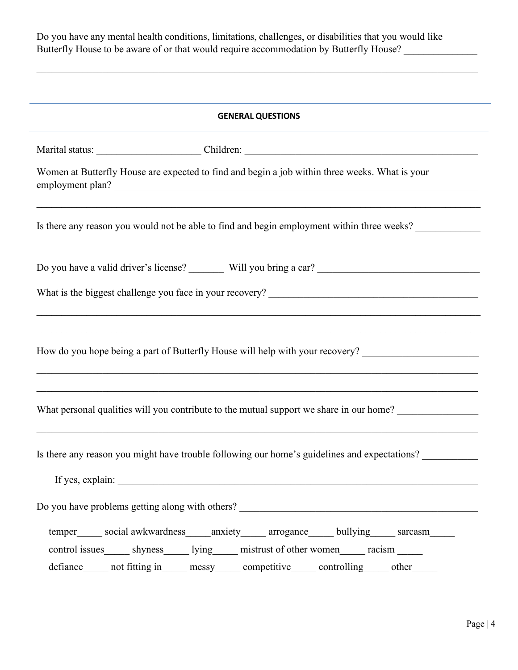Do you have any mental health conditions, limitations, challenges, or disabilities that you would like Butterfly House to be aware of or that would require accommodation by Butterfly House? \_\_\_\_\_\_\_\_\_\_\_\_\_

| <b>GENERAL QUESTIONS</b> |                                                                                                                    |  |
|--------------------------|--------------------------------------------------------------------------------------------------------------------|--|
|                          |                                                                                                                    |  |
|                          | Women at Butterfly House are expected to find and begin a job within three weeks. What is your<br>employment plan? |  |
|                          | Is there any reason you would not be able to find and begin employment within three weeks?                         |  |
|                          |                                                                                                                    |  |
|                          |                                                                                                                    |  |
|                          |                                                                                                                    |  |
|                          | How do you hope being a part of Butterfly House will help with your recovery? ______________________               |  |
|                          | What personal qualities will you contribute to the mutual support we share in our home?                            |  |
|                          | Is there any reason you might have trouble following our home's guidelines and expectations?                       |  |
|                          |                                                                                                                    |  |
|                          | Do you have problems getting along with others? _________________________________                                  |  |
|                          | temper_____ social awkwardness_____ anxiety_____ arrogance_____ bullying_____ sarcasm_____                         |  |
|                          | control issues _______ shyness _______ lying ______ mistrust of other women _______ racism _______                 |  |
|                          | defiance______ not fitting in______ messy_______ competitive______ controlling______ other______                   |  |